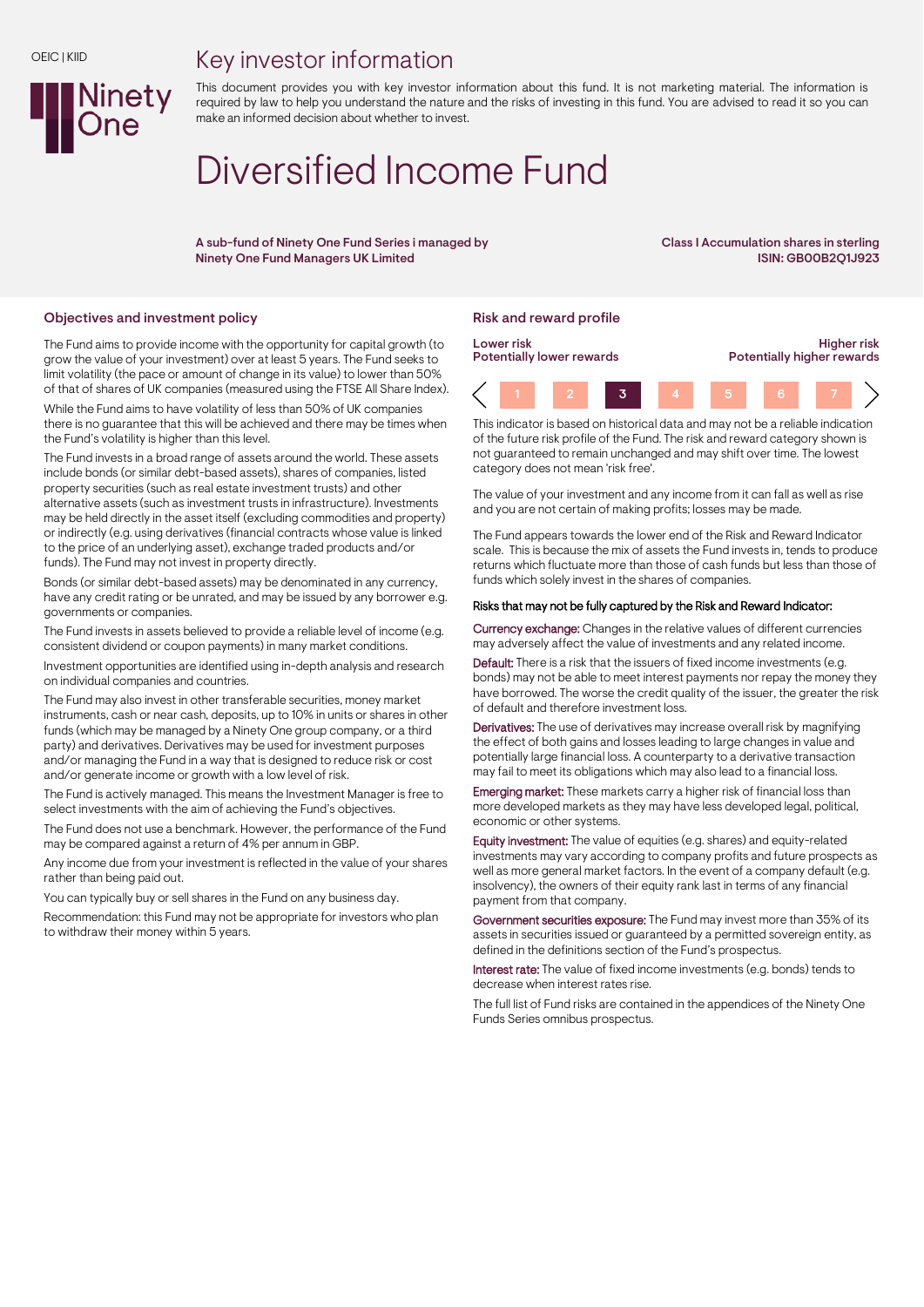## Key investor information



This document provides you with key investor information about this fund. It is not marketing material. The information is required by law to help you understand the nature and the risks of investing in this fund. You are advised to read it so you can make an informed decision about whether to invest.

# Diversified Income Fund

A sub-fund of Ninety One Fund Series i managed by Ninety One Fund Managers UK Limited

Class I Accumulation shares in sterling ISIN: GB00B2Q1J923

### Objectives and investment policy results of the Risk and reward profile

The Fund aims to provide income with the opportunity for capital growth (to grow the value of your investment) over at least 5 years. The Fund seeks to limit volatility (the pace or amount of change in its value) to lower than 50% of that of shares of UK companies (measured using the FTSE All Share Index).

While the Fund aims to have volatility of less than 50% of UK companies there is no guarantee that this will be achieved and there may be times when the Fund's volatility is higher than this level.

The Fund invests in a broad range of assets around the world. These assets include bonds (or similar debt-based assets), shares of companies, listed property securities (such as real estate investment trusts) and other alternative assets (such as investment trusts in infrastructure). Investments may be held directly in the asset itself (excluding commodities and property) or indirectly (e.g. using derivatives (financial contracts whose value is linked to the price of an underlying asset), exchange traded products and/or funds). The Fund may not invest in property directly.

Bonds (or similar debt-based assets) may be denominated in any currency, have any credit rating or be unrated, and may be issued by any borrower e.g. governments or companies.

The Fund invests in assets believed to provide a reliable level of income (e.g. consistent dividend or coupon payments) in many market conditions.

Investment opportunities are identified using in-depth analysis and research on individual companies and countries.

The Fund may also invest in other transferable securities, money market instruments, cash or near cash, deposits, up to 10% in units or shares in other funds (which may be managed by a Ninety One group company, or a third party) and derivatives. Derivatives may be used for investment purposes and/or managing the Fund in a way that is designed to reduce risk or cost and/or generate income or growth with a low level of risk.

The Fund is actively managed. This means the Investment Manager is free to select investments with the aim of achieving the Fund's objectives.

The Fund does not use a benchmark. However, the performance of the Fund may be compared against a return of 4% per annum in GBP.

Any income due from your investment is reflected in the value of your shares rather than being paid out.

You can typically buy or sell shares in the Fund on any business day.

Recommendation: this Fund may not be appropriate for investors who plan to withdraw their money within 5 years.



This indicator is based on historical data and may not be a reliable indication of the future risk profile of the Fund. The risk and reward category shown is not guaranteed to remain unchanged and may shift over time. The lowest category does not mean 'risk free'.

The value of your investment and any income from it can fall as well as rise and you are not certain of making profits; losses may be made.

The Fund appears towards the lower end of the Risk and Reward Indicator scale. This is because the mix of assets the Fund invests in, tends to produce returns which fluctuate more than those of cash funds but less than those of funds which solely invest in the shares of companies.

### Risks that may not be fully captured by the Risk and Reward Indicator:

Currency exchange: Changes in the relative values of different currencies may adversely affect the value of investments and any related income.

Default: There is a risk that the issuers of fixed income investments (e.g. bonds) may not be able to meet interest payments nor repay the money they have borrowed. The worse the credit quality of the issuer, the greater the risk of default and therefore investment loss.

Derivatives: The use of derivatives may increase overall risk by magnifying the effect of both gains and losses leading to large changes in value and potentially large financial loss. A counterparty to a derivative transaction may fail to meet its obligations which may also lead to a financial loss.

Emerging market: These markets carry a higher risk of financial loss than more developed markets as they may have less developed legal, political, economic or other systems.

Equity investment: The value of equities (e.g. shares) and equity-related investments may vary according to company profits and future prospects as well as more general market factors. In the event of a company default (e.g. insolvency), the owners of their equity rank last in terms of any financial payment from that company.

Government securities exposure: The Fund may invest more than 35% of its assets in securities issued or guaranteed by a permitted sovereign entity, as defined in the definitions section of the Fund's prospectus.

Interest rate: The value of fixed income investments (e.g. bonds) tends to decrease when interest rates rise.

The full list of Fund risks are contained in the appendices of the Ninety One Funds Series omnibus prospectus.